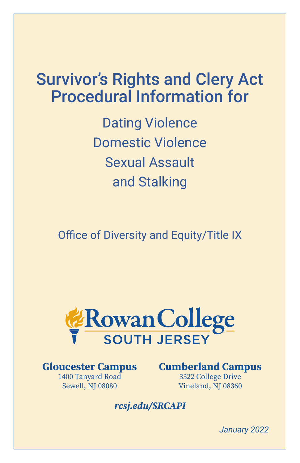# Survivor's Rights and Clery Act Procedural Information for

Dating Violence Domestic Violence Sexual Assault and Stalking

Office of Diversity and Equity/Title IX



**Gloucester Campus** 1400 Tanyard Road Sewell, NJ 08080

**Cumberland Campus** 3322 College Drive

Vineland, NJ 08360

# *rcsj.edu/SRCAPI*

*January 2022*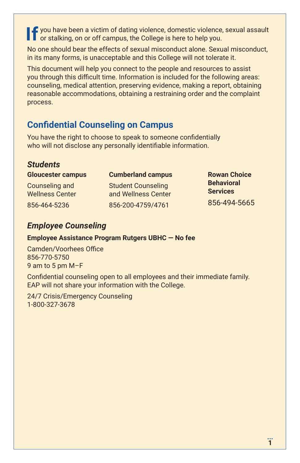**If** you have been a victim of dating violence, domestic violence, sexual assault<br>or stalking, on or off campus, the College is here to belp you. or stalking, on or off campus, the College is here to help you.

No one should bear the effects of sexual misconduct alone. Sexual misconduct, in its many forms, is unacceptable and this College will not tolerate it.

This document will help you connect to the people and resources to assist you through this difficult time. Information is included for the following areas: counseling, medical attention, preserving evidence, making a report, obtaining reasonable accommodations, obtaining a restraining order and the complaint process.

### **Confidential Counseling on Campus**

You have the right to choose to speak to someone confidentially who will not disclose any personally identifiable information.

### *Students*

**Gloucester campus**

Counseling and Wellness Center 856-464-5236

#### **Cumberland campus**

Student Counseling and Wellness Center 856-200-4759/4761

**Rowan Choice Behavioral Services**  856-494-5665

### *Employee Counseling*

#### **Employee Assistance Program Rutgers UBHC — No fee**

Camden/Voorhees Office 856-770-5750 9 am to 5 pm M–F

Confidential counseling open to all employees and their immediate family. EAP will not share your information with the College.

24/7 Crisis/Emergency Counseling 1-800-327-3678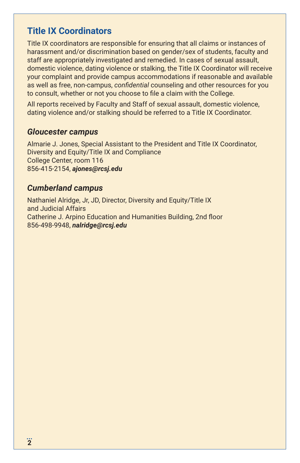### **Title IX Coordinators**

Title IX coordinators are responsible for ensuring that all claims or instances of harassment and/or discrimination based on gender/sex of students, faculty and staff are appropriately investigated and remedied. In cases of sexual assault, domestic violence, dating violence or stalking, the Title IX Coordinator will receive your complaint and provide campus accommodations if reasonable and available as well as free, non-campus, *confidential* counseling and other resources for you to consult, whether or not you choose to file a claim with the College.

All reports received by Faculty and Staff of sexual assault, domestic violence, dating violence and/or stalking should be referred to a Title IX Coordinator.

### *Gloucester campus*

Almarie J. Jones, Special Assistant to the President and Title IX Coordinator, Diversity and Equity/Title IX and Compliance College Center, room 116 856-415-2154, *ajones@rcsj.edu*

### *Cumberland campus*

Nathaniel Alridge, Jr, JD, Director, Diversity and Equity/Title IX and Judicial Affairs Catherine J. Arpino Education and Humanities Building, 2nd floor 856-498-9948, *nalridge@rcsj.edu*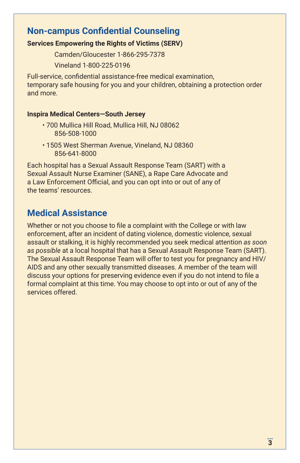### **Non-campus Confidential Counseling**

#### **Services Empowering the Rights of Victims (SERV)**

Camden/Gloucester 1-866-295-7378

Vineland 1-800-225-0196

Full-service, confidential assistance-free medical examination, temporary safe housing for you and your children, obtaining a protection order and more.

#### **Inspira Medical Centers—South Jersey**

- 700 Mullica Hill Road, Mullica Hill, NJ 08062 856-508-1000
- 1505 West Sherman Avenue, Vineland, NJ 08360 856-641-8000

Each hospital has a Sexual Assault Response Team (SART) with a Sexual Assault Nurse Examiner (SANE), a Rape Care Advocate and a Law Enforcement Official, and you can opt into or out of any of the teams' resources.

# **Medical Assistance**

Whether or not you choose to file a complaint with the College or with law enforcement, after an incident of dating violence, domestic violence, sexual assault or stalking, it is highly recommended you seek medical attention *as soon as possible* at a local hospital that has a Sexual Assault Response Team (SART). The Sexual Assault Response Team will offer to test you for pregnancy and HIV/ AIDS and any other sexually transmitted diseases. A member of the team will discuss your options for preserving evidence even if you do not intend to file a formal complaint at this time. You may choose to opt into or out of any of the services offered.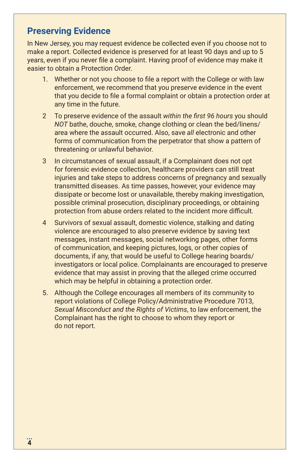### **Preserving Evidence**

In New Jersey, you may request evidence be collected even if you choose not to make a report. Collected evidence is preserved for at least 90 days and up to 5 years, even if you never file a complaint. Having proof of evidence may make it easier to obtain a Protection Order.

- 1. Whether or not you choose to file a report with the College or with law enforcement, we recommend that you preserve evidence in the event that you decide to file a formal complaint or obtain a protection order at any time in the future.
- 2 To preserve evidence of the assault *within the first 96 hours* you should *NOT* bathe, douche, smoke, change clothing or clean the bed/linens/ area where the assault occurred. Also, save *all* electronic and other forms of communication from the perpetrator that show a pattern of threatening or unlawful behavior.
- 3 In circumstances of sexual assault, if a Complainant does not opt for forensic evidence collection, healthcare providers can still treat injuries and take steps to address concerns of pregnancy and sexually transmitted diseases. As time passes, however, your evidence may dissipate or become lost or unavailable, thereby making investigation, possible criminal prosecution, disciplinary proceedings, or obtaining protection from abuse orders related to the incident more difficult.
- 4 Survivors of sexual assault, domestic violence, stalking and dating violence are encouraged to also preserve evidence by saving text messages, instant messages, social networking pages, other forms of communication, and keeping pictures, logs, or other copies of documents, if any, that would be useful to College hearing boards/ investigators or local police. Complainants are encouraged to preserve evidence that may assist in proving that the alleged crime occurred which may be helpful in obtaining a protection order.
- 5. Although the College encourages all members of its community to report violations of College Policy/Administrative Procedure 7013, *Sexual Misconduct and the Rights of Victims*, to law enforcement, the Complainant has the right to choose to whom they report or do not report.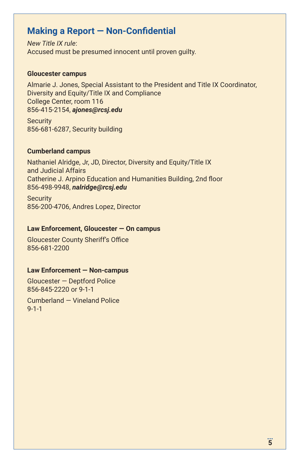### **Making a Report — Non-Confidential**

*New Title IX rule*: Accused must be presumed innocent until proven guilty.

#### **Gloucester campus**

Almarie J. Jones, Special Assistant to the President and Title IX Coordinator, Diversity and Equity/Title IX and Compliance College Center, room 116 856-415-2154, *ajones@rcsj.edu*

**Security** 856-681-6287, Security building

#### **Cumberland campus**

Nathaniel Alridge, Jr, JD, Director, Diversity and Equity/Title IX and Judicial Affairs Catherine J. Arpino Education and Humanities Building, 2nd floor 856-498-9948, *nalridge@rcsj.edu*

**Security** 856-200-4706, Andres Lopez, Director

#### **Law Enforcement, Gloucester — On campus**

Gloucester County Sheriff's Office 856-681-2200

#### **Law Enforcement — Non-campus**

Gloucester — Deptford Police 856-845-2220 or 9-1-1

Cumberland — Vineland Police 9-1-1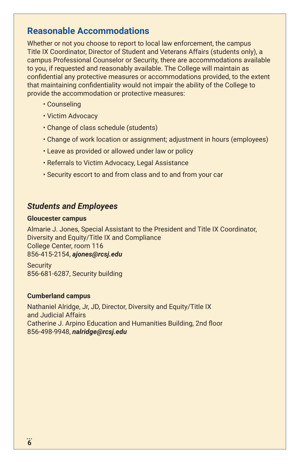### **Reasonable Accommodations**

Whether or not you choose to report to local law enforcement, the campus Title IX Coordinator, Director of Student and Veterans Affairs (students only), a campus Professional Counselor or Security, there are accommodations available to you, if requested and reasonably available. The College will maintain as confidential any protective measures or accommodations provided, to the extent that maintaining confidentiality would not impair the ability of the College to provide the accommodation or protective measures:

- Counseling
- Victim Advocacy
- Change of class schedule (students)
- Change of work location or assignment; adjustment in hours (employees)
- Leave as provided or allowed under law or policy
- Referrals to Victim Advocacy, Legal Assistance
- Security escort to and from class and to and from your car

### *Students and Employees*

#### **Gloucester campus**

Almarie J. Jones, Special Assistant to the President and Title IX Coordinator, Diversity and Equity/Title IX and Compliance College Center, room 116 856-415-2154, *ajones@rcsj.edu*

**Security** 856-681-6287, Security building

#### **Cumberland campus**

Nathaniel Alridge, Jr, JD, Director, Diversity and Equity/Title IX and Judicial Affairs Catherine J. Arpino Education and Humanities Building, 2nd floor 856-498-9948, *nalridge@rcsj.edu*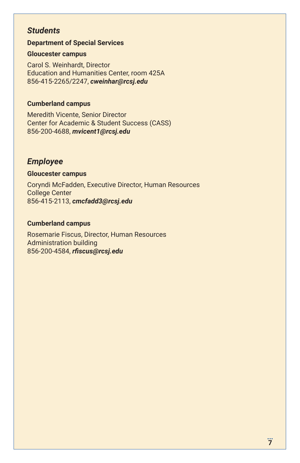### *Students*

#### **Department of Special Services**

#### **Gloucester campus**

Carol S. Weinhardt, Director Education and Humanities Center, room 425A 856-415-2265/2247, *cweinhar@rcsj.edu*

#### **Cumberland campus**

Meredith Vicente, Senior Director Center for Academic & Student Success (CASS) 856-200-4688, *mvicent1@rcsj.edu*

### *Employee*

#### **Gloucester campus**

Coryndi McFadden, Executive Director, Human Resources College Center 856-415-2113, *cmcfadd3@rcsj.edu*

#### **Cumberland campus**

Rosemarie Fiscus, Director, Human Resources Administration building 856-200-4584, *rfiscus@rcsj.edu*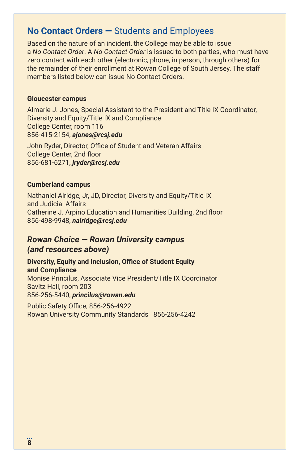### **No Contact Orders —** Students and Employees

Based on the nature of an incident, the College may be able to issue a *No Contact Order*. A *No Contact Order* is issued to both parties, who must have zero contact with each other (electronic, phone, in person, through others) for the remainder of their enrollment at Rowan College of South Jersey. The staff members listed below can issue No Contact Orders.

#### **Gloucester campus**

Almarie J. Jones, Special Assistant to the President and Title IX Coordinator, Diversity and Equity/Title IX and Compliance College Center, room 116 856-415-2154, *ajones@rcsj.edu* 

John Ryder, Director, Office of Student and Veteran Affairs College Center, 2nd floor 856-681-6271, *jryder@rcsj.edu*

### **Cumberland campus**

Nathaniel Alridge, Jr, JD, Director, Diversity and Equity/Title IX and Judicial Affairs Catherine J. Arpino Education and Humanities Building, 2nd floor 856-498-9948, *nalridge@rcsj.edu*

### *Rowan Choice — Rowan University campus (and resources above)*

**Diversity, Equity and Inclusion, Office of Student Equity and Compliance** Monise Princilus, Associate Vice President/Title IX Coordinator Savitz Hall, room 203 856-256-5440, *princilus@rowan.edu*

Public Safety Office, 856-256-4922 Rowan University Community Standards 856-256-4242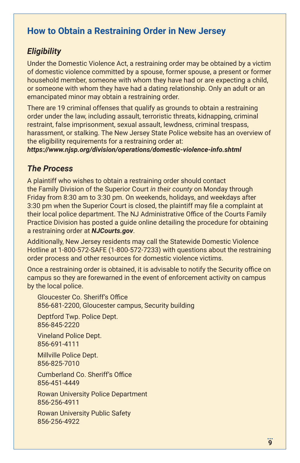# **How to Obtain a Restraining Order in New Jersey**

### *Eligibility*

Under the Domestic Violence Act, a restraining order may be obtained by a victim of domestic violence committed by a spouse, former spouse, a present or former household member, someone with whom they have had or are expecting a child, or someone with whom they have had a dating relationship. Only an adult or an emancipated minor may obtain a restraining order.

There are 19 criminal offenses that qualify as grounds to obtain a restraining order under the law, including assault, terroristic threats, kidnapping, criminal restraint, false imprisonment, sexual assault, lewdness, criminal trespass, harassment, or stalking. The New Jersey State Police website has an overview of the eligibility requirements for a restraining order at:

*https://www.njsp.org/division/operations/domestic-violence-info.shtml*

### *The Process*

A plaintiff who wishes to obtain a restraining order should contact the Family Division of the Superior Court *in their county* on Monday through Friday from 8:30 am to 3:30 pm. On weekends, holidays, and weekdays after 3:30 pm when the Superior Court is closed, the plaintiff may file a complaint at their local police department. The NJ Administrative Office of the Courts Family Practice Division has posted a guide online detailing the procedure for obtaining a restraining order at *NJCourts.gov*.

Additionally, New Jersey residents may call the Statewide Domestic Violence Hotline at 1-800-572-SAFE (1-800-572-7233) with questions about the restraining order process and other resources for domestic violence victims.

Once a restraining order is obtained, it is advisable to notify the Security office on campus so they are forewarned in the event of enforcement activity on campus by the local police.

Gloucester Co. Sheriff's Office 856-681-2200, Gloucester campus, Security building

Deptford Twp. Police Dept. 856-845-2220

Vineland Police Dept. 856-691-4111

Millville Police Dept. 856-825-7010

Cumberland Co. Sheriff's Office 856-451-4449

Rowan University Police Department 856-256-4911

Rowan University Public Safety 856-256-4922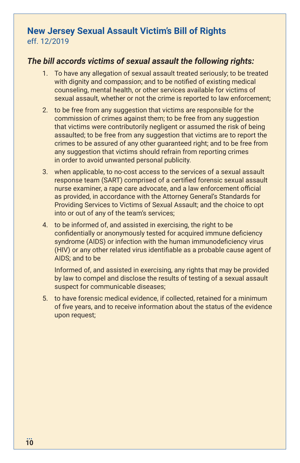### **New Jersey Sexual Assault Victim's Bill of Rights** eff. 12/2019

### *The bill accords victims of sexual assault the following rights:*

- 1. To have any allegation of sexual assault treated seriously; to be treated with dignity and compassion; and to be notified of existing medical counseling, mental health, or other services available for victims of sexual assault, whether or not the crime is reported to law enforcement;
- 2. to be free from any suggestion that victims are responsible for the commission of crimes against them; to be free from any suggestion that victims were contributorily negligent or assumed the risk of being assaulted; to be free from any suggestion that victims are to report the crimes to be assured of any other guaranteed right; and to be free from any suggestion that victims should refrain from reporting crimes in order to avoid unwanted personal publicity.
- 3. when applicable, to no-cost access to the services of a sexual assault response team (SART) comprised of a certified forensic sexual assault nurse examiner, a rape care advocate, and a law enforcement official as provided, in accordance with the Attorney General's Standards for Providing Services to Victims of Sexual Assault; and the choice to opt into or out of any of the team's services;
- 4. to be informed of, and assisted in exercising, the right to be confidentially or anonymously tested for acquired immune deficiency syndrome (AIDS) or infection with the human immunodeficiency virus (HIV) or any other related virus identifiable as a probable cause agent of AIDS; and to be

Informed of, and assisted in exercising, any rights that may be provided by law to compel and disclose the results of testing of a sexual assault suspect for communicable diseases;

5. to have forensic medical evidence, if collected, retained for a minimum of five years, and to receive information about the status of the evidence upon request;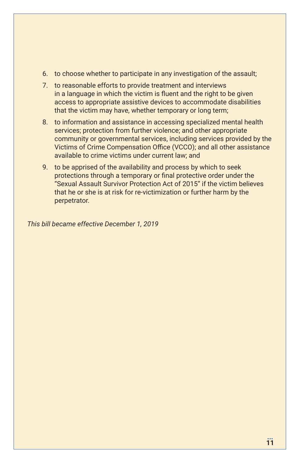- 6. to choose whether to participate in any investigation of the assault;
- 7. to reasonable efforts to provide treatment and interviews in a language in which the victim is fluent and the right to be given access to appropriate assistive devices to accommodate disabilities that the victim may have, whether temporary or long term;
- 8. to information and assistance in accessing specialized mental health services; protection from further violence; and other appropriate community or governmental services, including services provided by the Victims of Crime Compensation Office (VCCO); and all other assistance available to crime victims under current law; and
- 9. to be apprised of the availability and process by which to seek protections through a temporary or final protective order under the "Sexual Assault Survivor Protection Act of 2015" if the victim believes that he or she is at risk for re-victimization or further harm by the perpetrator.

*This bill became effective December 1, 2019*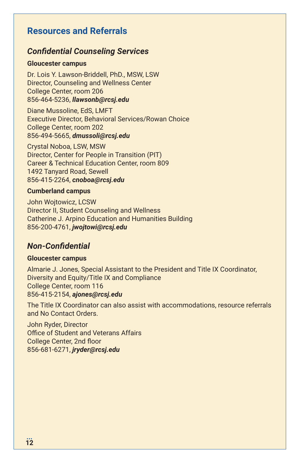# **Resources and Referrals**

### *Confidential Counseling Services*

#### **Gloucester campus**

Dr. Lois Y. Lawson-Briddell, PhD., MSW, LSW Director, Counseling and Wellness Center College Center, room 206 856-464-5236, *llawsonb@rcsj.edu*

Diane Mussoline, EdS, LMFT Executive Director, Behavioral Services/Rowan Choice College Center, room 202 856-494-5665, *dmussoli@rcsj.edu*

Crystal Noboa, LSW, MSW Director, Center for People in Transition (PIT) Career & Technical Education Center, room 809 1492 Tanyard Road, Sewell 856-415-2264, *cnoboa@rcsj.edu*

#### **Cumberland campus**

John Wojtowicz, LCSW Director II, Student Counseling and Wellness Catherine J. Arpino Education and Humanities Building 856-200-4761, *jwojtowi@rcsj.edu*

### *Non-Confidential*

#### **Gloucester campus**

Almarie J. Jones, Special Assistant to the President and Title IX Coordinator, Diversity and Equity/Title IX and Compliance College Center, room 116 856-415-2154, *ajones@rcsj.edu*

The Title IX Coordinator can also assist with accommodations, resource referrals and No Contact Orders.

John Ryder, Director Office of Student and Veterans Affairs College Center, 2nd floor 856-681-6271, *jryder@rcsj.edu*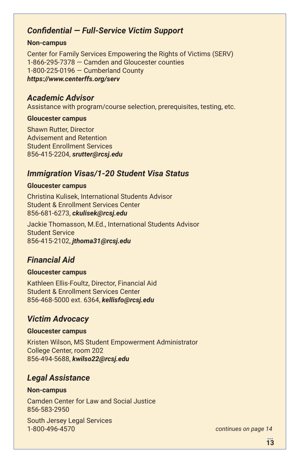### *Confidential — Full-Service Victim Support*

#### **Non-campus**

Center for Family Services Empowering the Rights of Victims (SERV) 1-866-295-7378 — Camden and Gloucester counties 1-800-225-0196 — Cumberland County *https://www.centerffs.org/serv*

#### *Academic Advisor*

Assistance with program/course selection, prerequisites, testing, etc.

#### **Gloucester campus**

Shawn Rutter, Director Advisement and Retention Student Enrollment Services 856-415-2204, *srutter@rcsj.edu*

### *Immigration Visas/1-20 Student Visa Status*

#### **Gloucester campus**

Christina Kulisek, International Students Advisor Student & Enrollment Services Center 856-681-6273, *ckulisek@rcsj.edu*

Jackie Thomasson, M.Ed., International Students Advisor Student Service 856-415-2102, *jthoma31@rcsj.edu*

### *Financial Aid*

#### **Gloucester campus**

Kathleen Ellis-Foultz, Director, Financial Aid Student & Enrollment Services Center 856-468-5000 ext. 6364, *kellisfo@rcsj.edu*

### *Victim Advocacy*

#### **Gloucester campus**

Kristen Wilson, MS Student Empowerment Administrator College Center, room 202 856-494-5688, *kwilso22@rcsj.edu*

### *Legal Assistance*

#### **Non-campus**

Camden Center for Law and Social Justice 856-583-2950

South Jersey Legal Services 1-800-496-4570 *continues on page 14*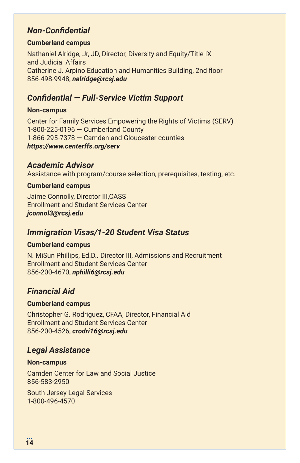### *Non-Confidential*

#### **Cumberland campus**

Nathaniel Alridge, Jr, JD, Director, Diversity and Equity/Title IX and Judicial Affairs Catherine J. Arpino Education and Humanities Building, 2nd floor 856-498-9948, *nalridge@rcsj.edu*

### *Confidential — Full-Service Victim Support*

#### **Non-campus**

Center for Family Services Empowering the Rights of Victims (SERV) 1-800-225-0196 — Cumberland County 1-866-295-7378 — Camden and Gloucester counties *https://www.centerffs.org/serv*

### *Academic Advisor*

Assistance with program/course selection, prerequisites, testing, etc.

#### **Cumberland campus**

Jaime Connolly, Director III,CASS Enrollment and Student Services Center *jconnol3@rcsj.edu*

### *Immigration Visas/1-20 Student Visa Status*

#### **Cumberland campus**

N. MiSun Phillips, Ed.D.. Director III, Admissions and Recruitment Enrollment and Student Services Center 856-200-4670, *nphilli6@rcsj.edu*

### *Financial Aid*

#### **Cumberland campus**

Christopher G. Rodriguez, CFAA, Director, Financial Aid Enrollment and Student Services Center 856-200-4526, *crodri16@rcsj.edu*

### *Legal Assistance*

#### **Non-campus**

Camden Center for Law and Social Justice 856-583-2950

South Jersey Legal Services 1-800-496-4570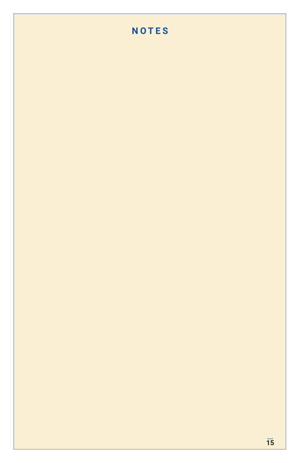# **NOTES**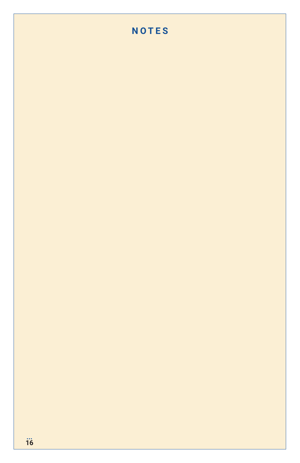# **NOTES**